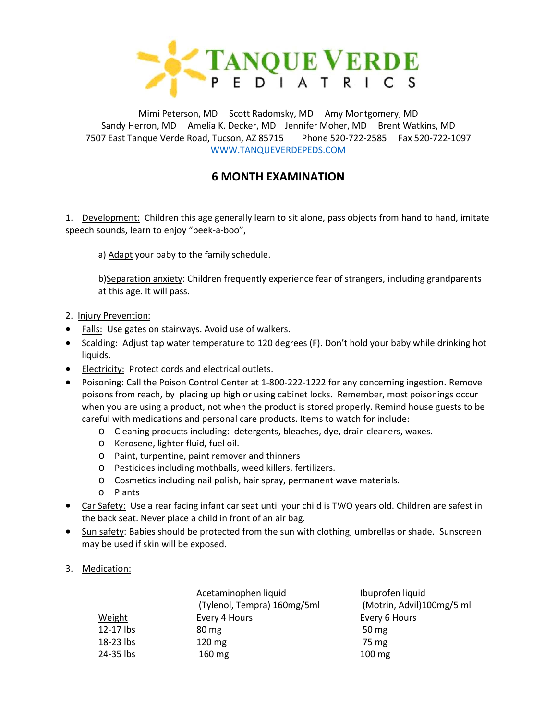

Mimi Peterson, MD Scott Radomsky, MD Amy Montgomery, MD Sandy Herron, MD Amelia K. Decker, MD Jennifer Moher, MD Brent Watkins, MD 7507 East Tanque Verde Road, Tucson, AZ 85715 Phone 520-722-2585 Fax 520-722-1097 [WWW.TANQUEVERDEPEDS.COM](http://www.tanqueverdepeds.com/)

## **6 MONTH EXAMINATION**

1. Development: Children this age generally learn to sit alone, pass objects from hand to hand, imitate speech sounds, learn to enjoy "peek-a-boo",

a) Adapt your baby to the family schedule.

b)Separation anxiety: Children frequently experience fear of strangers, including grandparents at this age. It will pass.

- 2. Injury Prevention:
- Falls: Use gates on stairways. Avoid use of walkers.
- Scalding: Adjust tap water temperature to 120 degrees (F). Don't hold your baby while drinking hot liquids.
- Electricity: Protect cords and electrical outlets.
- Poisoning: Call the Poison Control Center at 1-800-222-1222 for any concerning ingestion. Remove poisons from reach, by placing up high or using cabinet locks. Remember, most poisonings occur when you are using a product, not when the product is stored properly. Remind house guests to be careful with medications and personal care products. Items to watch for include:
	- o Cleaning products including: detergents, bleaches, dye, drain cleaners, waxes.
	- o Kerosene, lighter fluid, fuel oil.
	- o Paint, turpentine, paint remover and thinners
	- o Pesticides including mothballs, weed killers, fertilizers.
	- o Cosmetics including nail polish, hair spray, permanent wave materials.
	- o Plants
- Car Safety: Use a rear facing infant car seat until your child is TWO years old. Children are safest in the back seat. Never place a child in front of an air bag.
- Sun safety: Babies should be protected from the sun with clothing, umbrellas or shade. Sunscreen may be used if skin will be exposed.
- 3. Medication:

|           | Acetaminophen liquid<br>(Tylenol, Tempra) 160mg/5ml | Ibuprofen liquid<br>(Motrin, Advil)10 |
|-----------|-----------------------------------------------------|---------------------------------------|
| Weight    | Every 4 Hours                                       | Every 6 Hours                         |
| 12-17 lbs | $80 \,\mathrm{mg}$                                  | 50 $mg$                               |
| 18-23 lbs | $120 \text{ mg}$                                    | 75 mg                                 |
| 24-35 lbs | $160 \text{ mg}$                                    | $100 \text{ mg}$                      |

(Motrin, Advil)100mg/5 ml Every 6 Hours